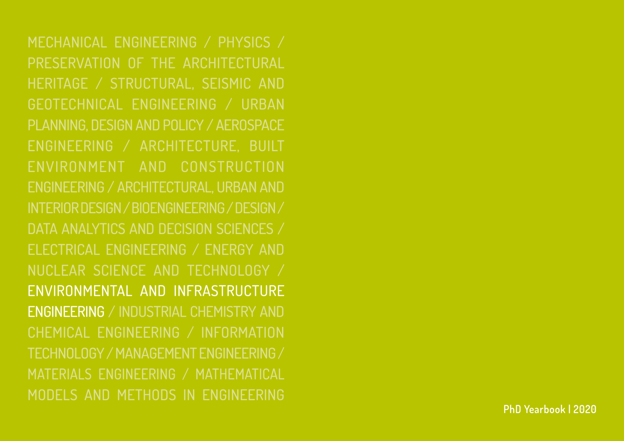Mechanical Engineering / Physics / Preservation Of The Architectural Heritage / Structural, Seismic And Geotechnical Engineering / Urban Planning, Design And Policy / Aerospace Engineering / Architecture, Built Environment And Construction Engineering / Architectural, Urban And Interior Design / Bioengineering/ Design / Data Analytics and Decision Sciences / Electrical Engineering / Energy And Nuclear Science And Technology / Environmental And Infrastructure Engineering / Industrial Chemistry And Chemical Engineering / Information Technology / Management Engineering / MATERIALs ENGINEERING / Mathematical Models And Methods In Engineering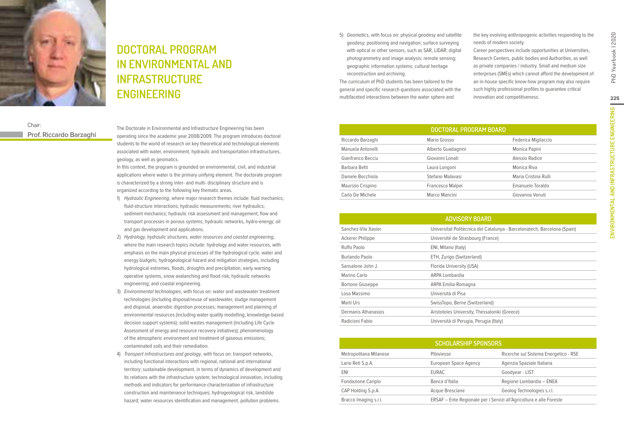

# **Doctoral Program in Environmental and Infrastructure engineering**

### Chair: **Prof. Riccardo Barzaghi**

The Doctorate in Environmental and Infrastructure Engineering has been operating since the academic year 2008/2009. The program introduces doctoral students to the world of research on key theoretical and technological elements associated with water, environment, hydraulic and transportation infrastructures, geology, as well as geomatics.

In this context, the program is grounded on environmental, civil, and industrial applications where water is the primary unifying element. The doctorate program is characterized by a strong inter- and multi- disciplinary structure and is organized according to the following key thematic areas.

- 1) Hydraulic Engineering, where major research themes include: fluid mechanics; fluid-structure interactions; hydraulic measurements; river hydraulics; sediment mechanics; hydraulic risk assessment and management; flow and transport processes in porous systems; hydraulic networks, hydro-energy; oil and gas development and applications.
- 2) Hydrology, hydraulic structures, water resources and coastal engineering, where the main research topics include: hydrology and water resources, with emphasis on the main physical processes of the hydrological cycle, water and energy budgets; hydrogeological hazard and mitigation strategies, including hydrological extremes, floods, droughts and precipitation, early warning operative systems, snow avalanching and flood risk; hydraulic networks engineering; and coastal engineering.
- 3) Environmental technologies, with focus on: water and wastewater treatment technologies (including disposal/reuse of wastewater, sludge management and disposal, anaerobic digestion processes; management and planning of environmental resources (including water quality modelling, knowledge-based decision support systems); solid wastes management (including Life Cycle Assessment of energy and resource recovery initiatives); phenomenology of the atmospheric environment and treatment of gaseous emissions; contaminated soils and their remediation.
- 4) Transport infrastructures and geology, with focus on: transport networks, including functional interactions with regional, national and international territory; sustainable development, in terms of dynamics of development and its relations with the infrastructure system; technological innovation, including methods and indicators for performance characterization of infrastructure construction and maintenance techniques; hydrogeological risk, landslide hazard; water resources identification and management, pollution problems.

5) Geomatics, with focus on: physical geodesy and satellite geodesy; positioning and navigation; surface surveying with optical or other sensors, such as SAR, LIDAR; digital photogrammetry and image analysis; remote sensing; geographic information systems; cultural heritage reconstruction and archiving.

The curriculum of PhD students has been tailored to the general and specific research questions associated with the multifaceted interactions between the water sphere and

the key evolving anthropogenic activities responding to the needs of modern society.

Career perspectives include opportunities at Universities, Research Centers, public bodies and Authorities, as well as private companies / industry. Small and medium size enterprises (SMEs) which cannot afford the development of an in-house specific know-how program may also require such highly professional profiles to guarantee critical innovation and competitiveness.

PhD Yearbook | 2020

| DOCTORAL PROGRAM BOARD |                    |                      |  |  |
|------------------------|--------------------|----------------------|--|--|
| Riccardo Barzaghi      | Mario Grosso       | Federica Migliaccio  |  |  |
| Manuela Antonelli      | Alberto Guadagnini | Monica Papini        |  |  |
| Gianfranco Becciu      | Giovanni Lonati    | Alessio Radice       |  |  |
| Barbara Betti          | Laura Longoni      | Monica Riva          |  |  |
| Daniele Bocchiola      | Stefano Malavasi   | Maria Cristina Rulli |  |  |
| Maurizio Crispino      | Francesca Malpei   | Emanuele Toraldo     |  |  |
| Carlo De Michele       | Marco Mancini      | Giovanna Venuti      |  |  |

| <b>ADVISORY BOARD</b>   |                                                                          |  |
|-------------------------|--------------------------------------------------------------------------|--|
| Sanchez-Vila Xavier     | Universitat Politècnica del Catalunya - Barcelonatech, Barcelona (Spain) |  |
| <b>Ackerer Philippe</b> | Université de Strasbourg (France)                                        |  |
| Ruffo Paolo             | ENI, Milano (Italy)                                                      |  |
| Burlando Paolo          | ETH, Zurigo (Switzerland)                                                |  |
| Sansalone John J.       | Florida University (USA)                                                 |  |
| Marino Carlo            | ARPA Lombardia                                                           |  |
| <b>Bortone Giuseppe</b> | ARPA Emilia-Romagna                                                      |  |
| Losa Massimo            | Università di Pisa                                                       |  |
| Marti Urs               | SwissTopo, Berne (Switzerland)                                           |  |
| Dermanis Athanasios     | Aristoteles University, Thessaloniki (Greece)                            |  |
| Radicioni Fabio         | Università di Perugia, Perugia (Italy)                                   |  |

| <b>SCHOLARSHIP SPONSORS</b> |                       |                                                                     |  |
|-----------------------------|-----------------------|---------------------------------------------------------------------|--|
| Metropolitana Milanese      | Pibiviesse            | Ricerche sul Sistema Energetico - RSE                               |  |
| Lario Reti S.p.A.           | European Space Agency | Agenzia Spaziale Italiana                                           |  |
| ENI                         | <b>EURAC</b>          | Goodyear - LIST                                                     |  |
| <b>Fondazione Cariplo</b>   | Banca d'Italia        | Regione Lombardia - ENEA                                            |  |
| CAP Holding S.p.A.          | Acque Bresciane       | Geolog Technologies s.r.l.                                          |  |
| Bracco Imaging s.r.l.       |                       | ERSAF - Ente Regionale per i Servizi all'Agricoltura e alle Foreste |  |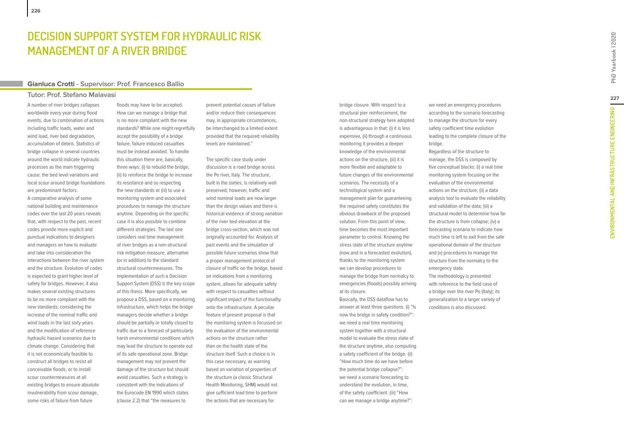# **E M FOR HYDRAULIC RISK MANAG E M ENT OF A RIV E R BRIDG E**

### **Gianluca Crotti - Supervisor: Prof. Francesco Ballio**

### **Tutor: Prof. Stefano Malavasi**

A number of river bridges collapses worldwide every year during flood events, due to combination of actions including traffic loads, water and wind load, river bed degradation, accumulation of debris. Statistics of bridge collapse in several countries around the world indicate hydraulic processes as the main triggering cause: the bed level variations and local scour around bridge foundations are predominant factors. A comparative analysis of some national building and maintenance codes over the last 20 years reveals that, with respect to the past, recent codes provide more explicit and punctual indications to designers and managers on how to evaluate and take into consideration the interactions between the river system and the structure. Evolution of codes is expected to grant higher level of safety for bridges. However, it also makes several existing structures to be no more compliant with the new standards; considering the increase of the nominal traffic and wind loads in the last sixty years and the modification of reference hydraulic hazard scenarios due to climate change. Considering that it is not economically feasible to construct all bridges to resist all conceivable floods, or to install scour countermeasures at all existing bridges to ensure absolute invulnerability from scour damage, DECISION SUPPORT S<br>
MANAGEMENT OF A R<br>
Gianlucea Crotti - Supervisor: Pro<br>
Tutor: Prof. Stefano Malavasi flood<br>
A number of tiver bridges collapses<br>
a flood, niver bed degradation, accumulation of actions are stand<br>
accumu

floods may have to be accepted. How can we manage a bridge that is no more compliant with the new standards? While one might regretfully accept the possibility of a bridge failure, failure-induced casualties must be instead avoided. To handle this situation there are, basically, three ways: (i) to rebuild the bridge, (ii) to reinforce the bridge to increase its resistance and so respecting the new standards or (iii) to use a monitoring system and associated procedures to manage the structure anytime. Depending on the specific case it is also possible to combine different strategies. The last one considers real time management of river bridges as a non-structural risk mitigation measure, alternative (or in addition) to the standard structural countermeasures. The implementation of such a Decision Support System (DSS) is the key scope of this thesis. More specifically, we propose a DSS, based on a monitoring infrastructure, which helps the bridge managers decide whether a bridge should be partially or totally closed to traffic due to a forecast of particularly harsh environmental conditions which may lead the structure to operate out of its safe operational zone. Bridge management may not prevent the damage of the structure but should avoid casualties. Such a strategy is consistent with the indications of the Eurocode EN 1990 which states (clause 2.2) that "the measures to

prevent potential causes of failure and/or reduce their consequences may, in appropriate circumstances, be interchanged to a limited extent provided that the required reliability levels are maintained."

The specific case study under discussion is a road bridge across the Po river, Italy. The structure, built in the sixties, is relatively well preserved; however, traffic and wind nominal loads are now larger than the design values and there is historical evidence of strong variation of the river bed elevation at the bridge cross-section, which was not originally accounted for. Analysis of past events and the simulation of possible future scenarios show that a proper management protocol of closure of traffic on the bridge, based on indications from a monitoring system, allows for adequate safety with respect to casualties without significant impact of the functionality onto the infrastructure. A peculiar feature of present proposal is that the monitoring system is focussed on the evaluation of the environmental actions on the structure rather than on the health state of the structure itself. Such a choice is in this case necessary, as warning based on variation of properties of the structure (a classic Structural Health Monitoring, SHM) would not give sufficient lead time to perform the actions that are necessary for

bridge closure. With respect to a structural pier reinforcement, the non-structural strategy here adopted is advantageous in that: (i) it is less expensive, (ii) through a continuous monitoring it provides a deeper knowledge of the environmental actions on the structure, (iii) it is more flexible and adaptable to future changes of the environmental scenarios. The necessity of a technological system and a management plan for guaranteeing the required safety constitutes the obvious drawback of the proposed solution. From this point of view, time becomes the most important parameter to control. Knowing the stress state of the structure anytime (now and in a forecasted evolution), thanks to the monitoring system we can develop procedures to manage the bridge from normalcy to emergencies (floods) possibly arriving at its closure. Basically, the DSS dataflow has to answer at least three questions. (i) "Is now the bridge in safety condition?": we need a real time monitoring

system together with a structural model to evaluate the stress state of the structure anytime, also computing a safety coefficient of the bridge. (ii) "How much time do we have before the potential bridge collapse?": we need a scenario forecasting to understand the evolution, in time, of the safety coefficient. (iii) "How can we manage a bridge anytime?":

we need an emergency procedures according to the scenario forecasting to manage the structure for every safety coefficient time evolution leading to the complete closure of the bridge.

Regardless of the structure to manage, the DSS is composed by five conceptual blocks: (i) a real time monitoring system focusing on the evaluation of the environmental actions on the structure; (ii) a data analysis tool to evaluate the reliability and validation of the data; (iii) a structural model to determine how far the structure is from collapse; (iv) a forecasting scenario to indicate how much time is left to exit from the safe operational domain of the structure and (v) procedures to manage the structure from the normalcy to the emergency state. The methodology is presented

with reference to the field case of a bridge over the river Po (Italy); its generalization to a larger variety of conditions is also discussed.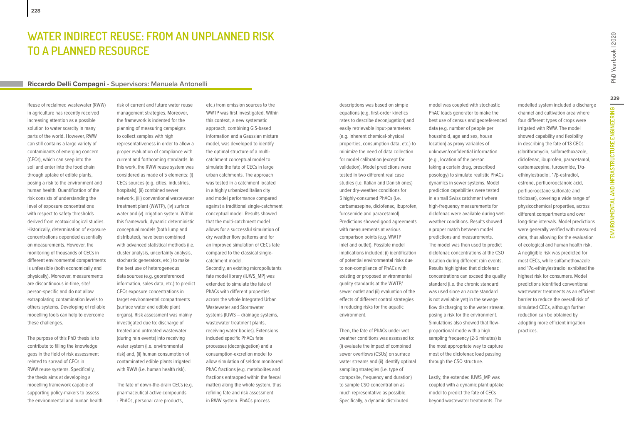### **Riccardo Delli Compagni - Supervisors: Manuela Antonelli**

Reuse of reclaimed wastewater (RWW) in agriculture has recently received increasing attention as a possible solution to water scarcity in many parts of the world. However, RWW can still contains a large variety of contaminants of emerging concern (CECs), which can seep into the soil and enter into the food chain through uptake of edible plants, posing a risk to the environment and human health. Quantification of the risk consists of understanding the level of exposure concentrations with respect to safety thresholds derived from ecotoxicological studies. Historically, determination of exposure concentrations depended essentially on measurements. However, the monitoring of thousands of CECs in different environmental compartments is unfeasible (both economically and physically). Moreover, measurements are discontinuous in-time, site/ person-specific and do not allow extrapolating contamination levels to others systems. Developing of reliable modelling tools can help to overcome these challenges.

**228**

The purpose of this PhD thesis is to contribute to filling the knowledge gaps in the field of risk assessment related to spread of CECs in RWW reuse systems. Specifically, the thesis aims at developing a modelling framework capable of supporting policy-makers to assess the environmental and human health risk of current and future water reuse management strategies. Moreover, the framework is indented for the planning of measuring campaigns to collect samples with high representativeness in order to allow a proper evaluation of compliance with current and forthcoming standards. In this work, the RWW reuse system was considered as made of 5 elements: (i) CECs sources (e.g. cities, industries, hospitals), (ii) combined sewer network, (iii) conventional wastewater treatment plant (WWTP), (iv) surface water and (v) irrigation system. Within this framework, dynamic deterministic conceptual models (both lump and distributed), have been combined with advanced statistical methods (i.e. cluster analysis, uncertainty analysis, stochastic generators, etc.) to make the best use of heterogeneous data sources (e.g. georeferenced information, sales data, etc.) to predict CECs exposure concentrations in target environmental compartments (surface water and edible plant organs). Risk assessment was mainly investigated due to: discharge of treated and untreated wastewater (during rain events) into receiving water system (i.e. environmental risk) and, (ii) human consumption of contaminated edible plants irrigated with RWW (i.e. human health risk).

The fate of down-the-drain CECs (e.g. pharmaceutical active compounds - PhACs, personal care products,

etc.) from emission sources to the WWTP was first investigated. Within this context, a new systematic approach, combining GIS-based information and a Gaussian mixture model, was developed to identify the optimal structure of a multicatchment conceptual model to simulate the fate of CECs in large urban catchments. The approach was tested in a catchment located in a highly urbanized Italian city and model performance compared against a traditional single-catchment conceptual model. Results showed that the multi-catchment model allows for a successful simulation of dry weather flow patterns and for an improved simulation of CECs fate compared to the classical singlecatchment model. Secondly, an existing micropollutants fate model library (IUWS\_MP) was extended to simulate the fate of PhACs with different properties across the whole Integrated Urban Wastewater and Stormwater systems (IUWS – drainage systems, wastewater treatment plants, receiving water bodies). Extensions included specific PhACs fate processes (deconjugation) and a consumption-excretion model to allow simulation of seldom monitored PhAC fractions (e.g. metabolites and fractions entrapped within the faecal matter) along the whole system, thus refining fate and risk assessment in RWW system. PhACs process

descriptions was based on simple equations (e.g. first-order kinetics rates to describe deconjugation) and easily retrievable input-parameters (e.g. inherent chemical-physical properties, consumption data, etc.) to minimize the need of data collection for model calibration (except for validation). Model predictions were tested in two different real case studies (i.e. Italian and Danish ones) under dry-weather conditions for 5 highly-consumed PhACs (i.e. carbamazepine, diclofenac, ibuprofen, furosemide and paracetamol). Predictions showed good agreements with measurements at various comparison points (e.g. WWTP inlet and outlet). Possible model implications included: (i) identification of potential environmental risks due to non-compliance of PhACs with existing or proposed environmental quality standards at the WWTP/ sewer outlet and (ii) evaluation of the effects of different control strategies in reducing risks for the aquatic environment.

Then, the fate of PhACs under wet weather conditions was assessed to: (i) evaluate the impact of combined sewer overflows (CSOs) on surface water streams and (ii) identify optimal sampling strategies (i.e. type of composite, frequency and duration) to sample CSO concentration as much representative as possible. Specifically, a dynamic distributed

model was coupled with stochastic PhAC loads generator to make the best use of census and georeferenced data (e.g. number of people per household, age and sex, house location) as proxy variables of unknown/confidential information (e.g., location of the person taking a certain drug, prescribed posology) to simulate realistic PhACs dynamics in sewer systems. Model prediction capabilities were tested in a small Swiss catchment where high-frequency measurements for diclofenac were available during wetweather conditions. Results showed a proper match between model predictions and measurements. The model was then used to predict diclofenac concentrations at the CSO location during different rain events. Results highlighted that diclofenac concentrations can exceed the quality standard (i.e. the chronic standard was used since an acute standard is not available yet) in the sewage flow discharging to the water stream, posing a risk for the environment. Simulations also showed that flowproportional mode with a high sampling frequency (2-5 minutes) is the most appropriate way to capture most of the diclofenac load passing through the CSO structure.

Lastly, the extended IUWS\_MP was coupled with a dynamic plant uptake model to predict the fate of CECs beyond wastewater treatments. The

modelled system included a discharge channel and cultivation area where four different types of crops were irrigated with RWW. The model showed capability and flexibility in describing the fate of 13 CECs (clarithromycin, sulfamethoxazole, diclofenac, ibuprofen, paracetamol, carbamazepine, furosemide, 17αethinylestradiol, 17β-estradiol, estrone, perfluorooctanoic acid, perfluorooctane sulfonate and triclosan), covering a wide range of physicochemical properties, across different compartments and over long-time intervals. Model predictions were generally verified with measured data, thus allowing for the evaluation of ecological and human health risk. A negligible risk was predicted for most CECs, while sulfamethoxazole and 17α-ethinylestradiol exhibited the highest risk for consumers. Model predictions identified conventional wastewater treatments as an efficient barrier to reduce the overall risk of simulated CECs, although further

reduction can be obtained by adopting more efficient irrigation

practices.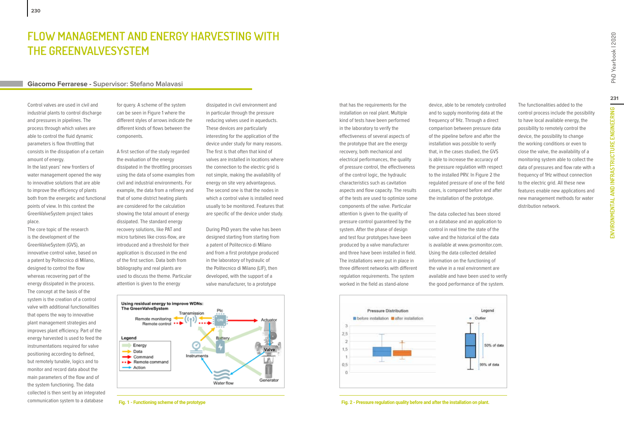# **Flow Management and Energy Harvesting with the GreenValveSystem**

### **Giacomo Ferrarese - Supervisor: Stefano Malavasi**

Control valves are used in civil and industrial plants to control discharge and pressures in pipelines. The process through which valves are able to control the fluid dynamic parameters is flow throttling that consists in the dissipation of a certain amount of energy.

In the last years' new frontiers of water management opened the way to innovative solutions that are able to improve the efficiency of plants both from the energetic and functional points of view. In this context the GreenValveSystem project takes place.

The core topic of the research is the development of the GreenValveSystem (GVS), an innovative control valve, based on a patent by Politecnico di Milano, designed to control the flow whereas recovering part of the energy dissipated in the process. The concept at the basis of the system is the creation of a control valve with additional functionalities that opens the way to innovative plant management strategies and improves plant efficiency. Part of the energy harvested is used to feed the instrumentations required for valve positioning according to defined, but remotely tunable, logics and to monitor and record data about the main parameters of the flow and of the system functioning. The data collected is then sent by an integrated communication system to a database

for query. A scheme of the system can be seen in Figure 1 where the different styles of arrows indicate the different kinds of flows between the components.

A first section of the study regarded the evaluation of the energy dissipated in the throttling processes using the data of some examples from civil and industrial environments. For example, the data from a refinery and that of some district heating plants are considered for the calculation showing the total amount of energy dissipated. The standard energy recovery solutions, like PAT and micro turbines like cross-flow, are introduced and a threshold for their application is discussed in the end of the first section. Data both from bibliography and real plants are used to discuss the theme. Particular attention is given to the energy

dissipated in civil environment and in particular through the pressure reducing valves used in aqueducts. These devices are particularly interesting for the application of the device under study for many reasons. The first is that often that kind of valves are installed in locations where the connection to the electric grid is not simple, making the availability of energy on site very advantageous. The second one is that the nodes in which a control valve is installed need usually to be monitored. Features that are specific of the device under study.

During PhD years the valve has been designed starting from starting from a patent of Politecnico di Milano and from a first prototype produced in the laboratory of hydraulic of the Politecnico di Milano (LIF), then developed, with the support of a valve manufacturer, to a prototype



that has the requirements for the installation on real plant. Multiple kind of tests have been performed in the laboratory to verify the effectiveness of several aspects of the prototype that are the energy recovery, both mechanical and electrical performances, the quality of pressure control, the effectiveness of the control logic, the hydraulic characteristics such as cavitation aspects and flow capacity. The results of the tests are used to optimize some components of the valve. Particular attention is given to the quality of pressure control guaranteed by the system. After the phase of design and test four prototypes have been produced by a valve manufacturer and three have been installed in field. The installations were put in place in three different networks with different regulation requirements. The system worked in the field as stand-alone

device, able to be remotely controlled and to supply monitoring data at the frequency of 1Hz. Through a direct comparison between pressure data of the pipeline before and after the installation was possible to verify that, in the cases studied, the GVS is able to increase the accuracy of the pressure regulation with respect to the installed PRV. In Figure 2 the regulated pressure of one of the field cases, is compared before and after the installation of the prototype.

The data collected has been stored on a database and an application to control in real time the state of the valve and the historical of the data is available at www.gvsmonitor.com. Using the data collected detailed information on the functioning of the valve in a real environment are available and have been used to verify the good performance of the system.



**Fig. 1 - Functioning scheme of the prototype Fig. 2 - Pressure regulation quality before and after the installation on plant.**

The functionalities added to the control process include the possibility to have local available energy, the possibility to remotely control the device, the possibility to change the working conditions or even to close the valve, the availability of a monitoring system able to collect the data of pressures and flow rate with a frequency of 1Hz without connection to the electric grid. All these new features enable new applications and new management methods for water

distribution network.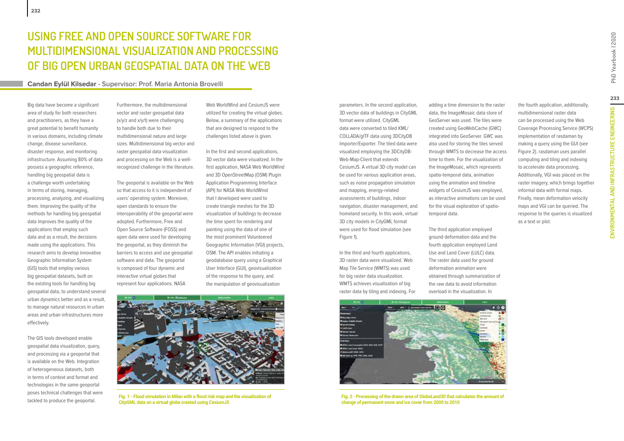### **Candan Eylül Kilsedar - Supervisor: Prof. Maria Antonia Brovelli**

Big data have become a significant area of study for both researchers and practitioners, as they have a great potential to benefit humanity in various domains, including climate change, disease surveillance, disaster response, and monitoring infrastructure. Assuming 80% of data possess a geographic reference, handling big geospatial data is a challenge worth undertaking in terms of storing, managing, processing, analyzing, and visualizing them. Improving the quality of the methods for handling big geospatial data improves the quality of the applications that employ such data and as a result, the decisions made using the applications. This research aims to develop innovative Geographic Information System (GIS) tools that employ various big geospatial datasets, built on the existing tools for handling big geospatial data, to understand several urban dynamics better and as a result, to manage natural resources in urban areas and urban infrastructures more effectively.

**232**

The GIS tools developed enable geospatial data visualization, query, and processing via a geoportal that is available on the Web. Integration of heterogeneous datasets, both in terms of context and format and technologies in the same geoportal poses technical challenges that were tackled to produce the geoportal.

Furthermore, the multidimensional vector and raster geospatial data (x/y/z and x/y/t) were challenging to handle both due to their multidimensional nature and large sizes. Multidimensional big vector and raster geospatial data visualization and processing on the Web is a wellrecognized challenge in the literature.

The geoportal is available on the Web so that access to it is independent of users' operating system. Moreover, open standards to ensure the interoperability of the geoportal were adopted. Furthermore, Free and Open Source Software (FOSS) and open data were used for developing the geoportal, as they diminish the barriers to access and use geospatial software and data. The geoportal is composed of four dynamic and interactive virtual globes that represent four applications. NASA

Web WorldWind and CesiumJS were utilized for creating the virtual globes. Below, a summary of the applications that are designed to respond to the challenges listed above is given.

In the first and second applications, 3D vector data were visualized. In the first application, NASA Web WorldWind and 3D OpenStreetMap (OSM) Plugin Application Programming Interface (API) for NASA Web WorldWind that I developed were used to create triangle meshes for the 3D visualization of buildings to decrease the time spent for rendering and painting using the data of one of the most prominent Volunteered Geographic Information (VGI) projects, OSM. The API enables initiating a geodatabase query using a Graphical User Interface (GUI), geovisualization of the response to the query, and the manipulation of geovisualization



**Fig. 1 - Flood simulation in Milan with a flood risk map and the visualization of CityGML data on a virtual globe created using CesiumJS**

parameters. In the second application, 3D vector data of buildings in CityGML format were utilized. CityGML data were converted to tiled KML/ COLLADA/glTF data using 3DCityDB Importer/Exporter. The tiled data were visualized employing the 3DCityDB-Web-Map-Client that extends CesiumJS. A virtual 3D city model can be used for various application areas, such as noise propagation simulation and mapping, energy-related assessments of buildings, indoor navigation, disaster management, and homeland security. In this work, virtual 3D city models in CityGML format were used for flood simulation (see Figure 1).

In the third and fourth applications, 3D raster data were visualized. Web Map Tile Service (WMTS) was used for big raster data visualization. WMTS achieves visualization of big raster data by tiling and indexing. For adding a time dimension to the raster data, the ImageMosaic data store of GeoServer was used. The tiles were created using GeoWebCache (GWC) integrated into GeoServer. GWC was also used for storing the tiles served through WMTS to decrease the access time to them. For the visualization of the ImageMosaic, which represents spatio-temporal data, animation using the animation and timeline widgets of CesiumJS was employed, as interactive animations can be used for the visual exploration of spatiotemporal data.

The third application employed ground deformation data and the fourth application employed Land Use and Land Cover (LULC) data. The raster data used for ground deformation animation were obtained through summarization of the raw data to avoid information overload in the visualization. In



**Fig. 2 - Processing of the drawn area of GlobeLand30 that calculates the amount of change of permanent snow and ice cover from 2000 to 2010**

the fourth application, additionally, multidimensional raster data can be processed using the Web Coverage Processing Service (WCPS) implementation of rasdaman by making a query using the GUI (see Figure 2). rasdaman uses parallel computing and tiling and indexing to accelerate data processing. Additionally, VGI was placed on the raster imagery, which brings together informal data with formal maps. Finally, mean deformation velocity maps and VGI can be queried. The response to the queries is visualized as a text or plot.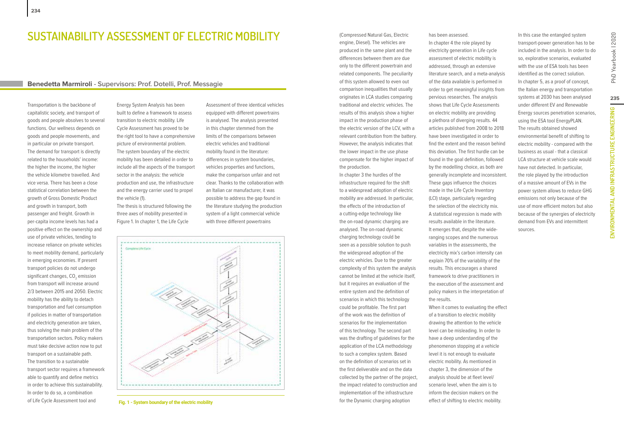## **SUSTAINABILITY ASSESSMENT OF ELECTRIC MOBILITY**

### **Benedetta Marmiroli - Supervisors: Prof. Dotelli, Prof. Messagie**

Transportation is the backbone of capitalistic society, and transport of goods and people absolves to several functions. Our wellness depends on goods and people movements, and in particular on private transport. The demand for transport is directly related to the households' income: the higher the income, the higher the vehicle kilometre travelled. And vice versa. There has been a close statistical correlation between the growth of Gross Domestic Product and growth in transport, both passenger and freight. Growth in per-capita income levels has had a positive effect on the ownership and use of private vehicles, tending to increase reliance on private vehicles to meet mobility demand, particularly in emerging economies. If present transport policies do not undergo significant changes,  $\mathtt{CO}_2$  emission from transport will increase around 2/3 between 2015 and 2050. Electric mobility has the ability to detach transportation and fuel consumption if policies in matter of transportation and electricity generation are taken, thus solving the main problem of the transportation sectors. Policy makers must take decisive action now to put transport on a sustainable path. The transition to a sustainable transport sector requires a framework able to quantify and define metrics in order to achieve this sustainability. In order to do so, a combination of Life Cycle Assessment tool and

Energy System Analysis has been built to define a framework to assess transition to electric mobility. Life Cycle Assessment has proved to be the right tool to have a comprehensive picture of environmental problem. The system boundary of the electric mobility has been detailed in order to include all the aspects of the transport sector in the analysis: the vehicle production and use, the infrastructure and the energy carrier used to propel the vehicle (1).

The thesis is structured following the three axes of mobility presented in Figure 1. In chapter 1, the Life Cycle

Assessment of three identical vehicles equipped with different powertrains is analysed. The analysis presented in this chapter stemmed from the limits of the comparisons between electric vehicles and traditional mobility found in the literature: differences in system boundaries, vehicles properties and functions, make the comparison unfair and not clear. Thanks to the collaboration with an Italian car manufacturer, it was possible to address the gap found in the literature studying the production system of a light commercial vehicle with three different powertrains



**Fig. 1 - System boundary of the electric mobility**

(Compressed Natural Gas, Electric engine, Diesel). The vehicles are produced in the same plant and the differences between them are due only to the different powertrain and related components. The peculiarity of this system allowed to even out comparison inequalities that usually originates in LCA studies comparing traditional and electric vehicles. The results of this analysis show a higher impact in the production phase of the electric version of the LCV, with a relevant contribution from the battery. However, the analysis indicates that the lower impact in the use phase compensate for the higher impact of

the production. In chapter 3 the hurdles of the infrastructure required for the shift to a widespread adoption of electric mobility are addressed. In particular, the effects of the introduction of a cutting-edge technology like the on-road dynamic charging are analysed. The on-road dynamic charging technology could be seen as a possible solution to push the widespread adoption of the electric vehicles. Due to the greater complexity of this system the analysis cannot be limited at the vehicle itself, but it requires an evaluation of the entire system and the definition of scenarios in which this technology could be profitable. The first part of the work was the definition of scenarios for the implementation of this technology. The second part was the drafting of guidelines for the application of the LCA methodology to such a complex system. Based on the definition of scenarios set in the first deliverable and on the data collected by the partner of the project, the impact related to construction and implementation of the infrastructure for the Dynamic charging adoption

has been assessed. In chapter 4 the role played by electricity generation in Life cycle

assessment of electric mobility is addressed, through an extensive literature search, and a meta-analysis of the data available is performed in order to get meaningful insights from pervious researches. The analysis shows that Life Cycle Assessments on electric mobility are providing a plethora of diverging results. 44 articles published from 2008 to 2018 have been investigated in order to find the extent and the reason behind this deviation. The first hurdle can be found in the goal definition, followed by the modelling choice, as both are generally incomplete and inconsistent. These gaps influence the choices made in the Life Cycle Inventory (LCI) stage, particularly regarding the selection of the electricity mix. A statistical regression is made with results available in the literature. It emerges that, despite the wideranging scopes and the numerous variables in the assessments, the electricity mix's carbon intensity can explain 70% of the variability of the results. This encourages a shared framework to drive practitioners in the execution of the assessment and policy makers in the interpretation of the results. When it comes to evaluating the effect of a transition to electric mobility drawing the attention to the vehicle level can be misleading. In order to have a deep understanding of the

phenomenon stopping at a vehicle level it is not enough to evaluate electric mobility. As mentioned in chapter 3, the dimension of the analysis should be at fleet level/ scenario level, when the aim is to inform the decision makers on the effect of shifting to electric mobility.

transport-power generation has to be included in the analysis. In order to do so, explorative scenarios, evaluated with the use of ESA tools has been identified as the correct solution. In chapter 5, as a proof of concept, the Italian energy and transportation systems at 2030 has been analysed under different EV and Renewable Energy sources penetration scenarios, using the ESA tool EnergyPLAN. The results obtained showed environmental benefit of shifting to electric mobility - compared with the business as usual - that a classical LCA structure at vehicle scale would have not detected. In particular, the role played by the introduction of a massive amount of EVs in the power system allows to reduce GHG emissions not only because of the use of more efficient motors but also because of the synergies of electricity demand from EVs and intermittent sources.

In this case the entangled system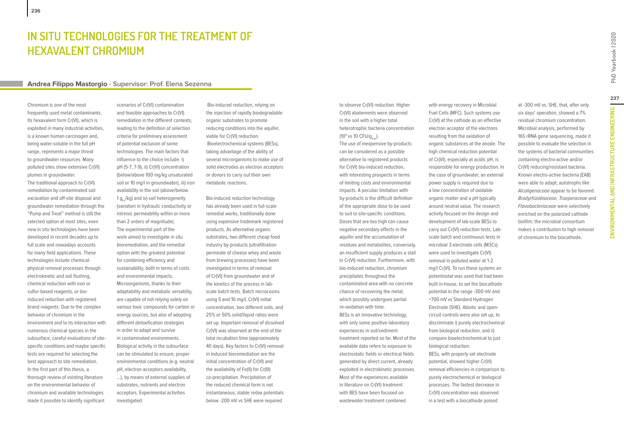### **Andrea Filippo Mastorgio - Supervisor: Prof. Elena Sezenna**

Chromium is one of the most frequently used metal contaminants. Its hexavalent form Cr(VI), which is exploited in many industrial activities, is a known human carcinogen and, being water-soluble in the full pH range, represents a major threat to groundwater resources. Many polluted sites show extensive Cr(VI) plumes in groundwater.

The traditional approach to Cr(VI) remediation by contaminated soil excavation and off-site disposal and groundwater remediation through the "Pump and Treat" method is still the selected option at most sites, even new in situ technologies have been developed in recent decades up to full scale and nowadays accounts for many field applications. These technologies include chemicalphysical removal processes through electrokinetic and soil flushing, chemical reduction with iron or sulfur-based reagents, or bioinduced reduction with registered brand reagents. Due to the complex behavior of chromium in the environment and to its interaction with numerous chemical species in the subsurface, careful evaluations of sitespecific conditions and maybe specific tests are required for selecting the best approach to site remediation. In the first part of this thesis, a thorough review of existing literature on the environmental behavior of chromium and available technologies made it possible to identify significant

scenarios of Cr(VI) contamination and feasible approaches to Cr(VI) remediation in the different contexts, leading to the definition of selection criteria for preliminary assessment of potential exclusion of some technologies. The main factors that influence to the choice include: i) pH (5-7; 7-9), ii) Cr(VI) concentration (below/above 100 mg/kg unsaturated soil or 10 mg/l in groundwater), iii) iron availability in the soil (above/below 1  $q_e$ /kg) and iv) soil heterogeneity (variation in hydraulic conductivity or intrinsic permeability within or more than 2 orders of magnitude). The experimental part of the work aimed to investigate in situ bioremediation, and the remedial option with the greatest potential for combining efficiency and sustainability, both in terms of costs and environmental impacts. Microorganisms, thanks to their adaptability and metabolic versatility, are capable of not relying solely on various toxic compounds for carbon or energy sources, but also of adopting different detoxification strategies in order to adapt and survive in contaminated environments. Biological activity in the subsurface can be stimulated to ensure, proper environmental conditions (e.g. neutral pH, electron acceptors availability, …), by means of external supplies of substrates, nutrients and electron acceptors. Experimental activities investigated:

 Bio-induced reduction, relying on the injection of rapidly biodegradable organic substrates to promote reducing conditions into the aquifer, viable for Cr(VI) reduction. Bioelectrochemical systems (BESs), taking advantage of the ability of several microrganisms to make use of solid electrodes as electron acceptors or donors to carry out their own metabolic reactions.

Bio-induced reduction technology has already been used in full-scale remedial works, traditionally done using expensive trademark registered products. As alternative organic substrates, two different cheap food industry by-products (ultrafiltration permeate of cheese whey and waste from brewing processes) have been investigated in terms of removal of Cr(VI) from groundwater and of the kinetics of the process in labscale batch tests. Batch microcosms using 5 and 10 mg/L Cr(VI) initial concentration, two different soils, and 25% or 50% solid/liquid ratios were set up. Important removal of dissolved Cr(VI) was observed at the end of the total incubation time (approximately 40 days). Key factors to Cr(VI) removal in induced bioremediation are the initial concentration of Cr(VI) and the availability of Fe(II) for Cr(III) co-precipitation. Precipitation of the reduced chemical form is not instantaneous; stable redox potentials below -200 mV vs SHE were required

to observe Cr(VI) reduction. Higher Cr(VI) abatements were observed in the soil with a higher total heterotrophic bacteria concentration (10<sup>4</sup> vs 10 CFU/g<sub>d.w.</sub>). The use of inexpensive by-products can be considered as a possible alternative to registered products for Cr(VI) bio-induced reduction, with interesting prospects in terms of limiting costs and environmental impacts. A peculiar limitation with by-products is the difficult definition of the appropriate dose to be used to suit to site-specific conditions. Doses that are too high can cause negative secondary effects in the aquifer and the accumulation of residues and metabolites, conversely, an insufficient supply produces a stall in Cr(VI) reduction. Furthermore, with bio-induced reduction, chromium precipitates throughout the contaminated area with no concrete chance of recovering the metal, which possibly undergoes partial re-oxidation with time. BESs is an innovative technology, with only some positive laboratory experiences in soil/sediment treatment reported so far. Most of the available data refers to exposure to electrostatic fields or electrical fields generated by direct current, already exploited in electrokinetic processes. Most of the experiences available in literature on Cr(VI) treatment with BES have been focused on wastewater treatment combined

with energy recovery in Microbial Fuel Cells (MFC). Such systems use Cr(VI) at the cathode as an effective electron acceptor of the electrons resulting from the oxidation of organic substances at the anode. The high chemical reduction potential of Cr(VI), especially at acidic pH, is responsible for energy production. In the case of groundwater, an external power supply is required due to a low concentration of oxidable organic matter and a pH typically around neutral value. The research activity focused on the design and development of lab-scale BESs to carry out Cr(VI) reduction tests. Labscale batch and continuous tests in microbial 3-electrode cells (M3Cs) were used to investigate Cr(VI) removal in polluted water at 1-2 mg/l Cr(VI). To run these systems an potentiostat was used that had been built in-house, to set the biocathode potential in the range -300 mV and +700 mV vs Standard Hydrogen Electrode (SHE). Abiotic and opencircuit controls were also set up, to discriminate i) purely electrochemical from biological reduction, and ii) compare bioelectrochemical to just biological reduction. BESs, with properly set electrode potential, showed higher Cr(VI) removal efficiencies in comparison to purely electrochemical or biological processes. The fastest decrease in Cr(VI) concentration was observed in a test with a biocathode poised

at -300 mV vs. SHE, that, after only six days' operation, showed a 7% residual chromium concentration. Microbial analysis, performed by 16S rRNA gene sequencing, made it possible to evaluate the selection in the systems of bacterial communities containing electro-active and/or Cr(VI) reducing/resistant bacteria. Known electro-active bacteria (EAB) were able to adapt; autotrophs like Alcaligenaceae appear to be favored. Bradyrhizobiaceae, Trueperaceae and Flavobacteriaceae were selectively enriched on the polarized cathode biofilm; the microbial consortium makes a contribution to high removal of chromium to the biocathode.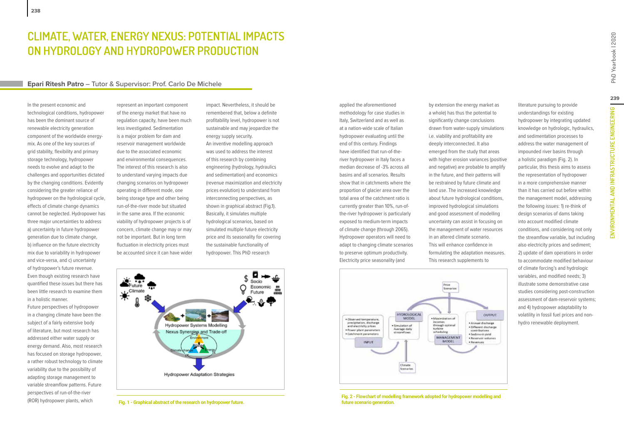# **Climate, Water, Energy Nexus: Potential Impacts on Hydrology and Hydropower Production**

### **Epari Ritesh Patro – Tutor & Supervisor: Prof. Carlo De Michele**

In the present economic and technological conditions, hydropower has been the dominant source of renewable electricity generation component of the worldwide energymix. As one of the key sources of grid stability, flexibility and primary storage technology, hydropower needs to evolve and adapt to the challenges and opportunities dictated by the changing conditions. Evidently considering the greater reliance of hydropower on the hydrological cycle, effects of climate change dynamics cannot be neglected. Hydropower has three major uncertainties to address a) uncertainty in future hydropower generation due to climate change, b) influence on the future electricity mix due to variability in hydropower and vice-versa, and c) uncertainty of hydropower's future revenue. Even though existing research have quantified these issues but there has been little research to examine them in a holistic manner.

Future perspectives of hydropower in a changing climate have been the subject of a fairly extensive body of literature, but most research has addressed either water supply or energy demand. Also, most research has focused on storage hydropower, a rather robust technology to climate variability due to the possibility of adapting storage management to variable streamflow patterns. Future perspectives of run-of-the-river (ROR) hydropower plants, which

represent an important component of the energy market that have no regulation capacity, have been much less investigated. Sedimentation is a major problem for dam and reservoir management worldwide due to the associated economic and environmental consequences. The interest of this research is also to understand varying impacts due changing scenarios on hydropower operating in different mode, one being storage type and other being run-of-the-river mode but situated in the same area. If the economic viability of hydropower projects is of concern, climate change may or may not be important. But in long term fluctuation in electricity prices must be accounted since it can have wider

impact. Nevertheless, it should be remembered that, below a definite profitability level, hydropower is not sustainable and may jeopardize the energy supply security. An inventive modelling approach was used to address the interest of this research by combining engineering (hydrology, hydraulics and sedimentation) and economics (revenue maximization and electricity prices evolution) to understand from interconnecting perspectives, as shown in graphical abstract (Fig.1). Basically, it simulates multiple hydrological scenarios, based on simulated multiple future electricity price and its seasonality for covering the sustainable functionality of hydropower. This PhD research



**Fig. 1 - Graphical abstract of the research on hydropower future.**

applied the aforementioned methodology for case studies in Italy, Switzerland and as well as at a nation-wide scale of Italian hydropower evaluating until the end of this century. Findings have identified that run-of-theriver hydropower in Italy faces a median decrease of -3% across all basins and all scenarios. Results show that in catchments where the proportion of glacier area over the total area of the catchment ratio is currently greater than 10%, run-ofthe-river hydropower is particularly exposed to medium-term impacts of climate change (through 2065). Hydropower operators will need to adapt to changing climate scenarios to preserve optimum productivity. Electricity price seasonality (and

Price Scenarios **HYDROLOGICAL** OUTPUT \* Observed temperature,<br>precipitation, discharge<br>and electricity prices Maximization of MODEL Annual discharge incomes<br>through optimal · Simulation of · Different discharge<br>contributions turbine<br>scheduling Average daily \* Power plant parameter<br>\* Catchment parameters streamflow · Sediment yield MANAGEMENT · Reservoir volume: MODEL **INPUT** Climate<br>Scenario

**Fig. 2 - Flowchart of modelling framework adopted for hydropower modelling and future scenario generation.**

by extension the energy market as a whole) has thus the potential to significantly change conclusions drawn from water-supply simulations i.e. viability and profitability are deeply interconnected. It also emerged from the study that areas with higher erosion variances (positive and negative) are probable to amplify in the future, and their patterns will be restrained by future climate and land use. The increased knowledge about future hydrological conditions, improved hydrological simulations and good assessment of modelling uncertainty can assist in focusing on the management of water resources in an altered climate scenario. This will enhance confidence in formulating the adaptation measures. This research supplements to

the streamflow variable, but including also electricity prices and sediment; 2) update of dam operations in order to accommodate modified behaviour of climate forcing's and hydrologic variables, and modified needs; 3) illustrate some demonstrative case studies considering post-construction assessment of dam-reservoir systems; and 4) hydropower adaptability to volatility in fossil fuel prices and nonhydro renewable deployment.

literature pursuing to provide understandings for existing hydropower by integrating updated knowledge on hydrologic, hydraulics, and sedimentation processes to address the water management of impounded river basins through a holistic paradigm (Fig. 2). In particular, this thesis aims to assess the representation of hydropower in a more comprehensive manner than it has carried out before within the management model, addressing the following issues: 1) re-think of design scenarios of dams taking into account modified climate conditions, and considering not only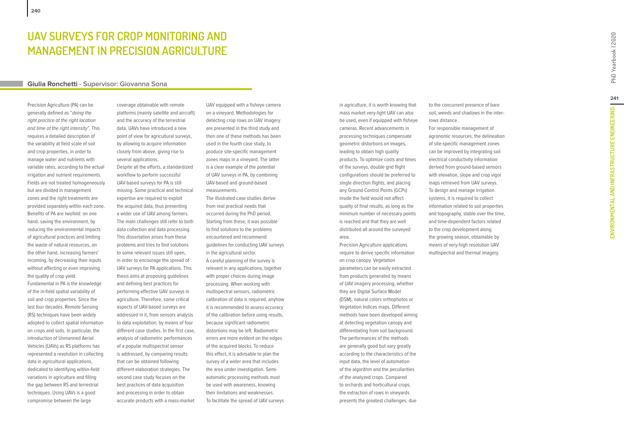# **UAV SURV EYS FOR CROP MONITORING AND MANAG E M ENT IN P R ECISION AGRICULTUR E**

### **Giulia Ronchetti - Supervisor: Giovanna Sona**

Precision Agriculture (PA) can be generally defined as "doing the right practice at the right location and time at the right intensity". This requires a detailed description of the variability at field scale of soil and crop properties, in order to manage water and nutrients with variable rates, according to the actual irrigation and nutrient requirements. Fields are not treated homogeneously but are divided in management zones and the right treatments are provided separately within each zone. Benefits of PA are twofold: on one hand, saving the environment, by reducing the environmental impacts of agricultural practices and limiting the waste of natural resources, on the other hand, increasing farmers' incoming, by decreasing their inputs without affecting or even improving the quality of crop yield. Fundamental in PA is the knowledge of the in-field spatial variability of soil and crop properties. Since the last four decades, Remote Sensing (RS) techniques have been widely adopted to collect spatial information on crops and soils. In particular, the introduction of Unmanned Aerial Vehicles (UAVs) as RS platforms has represented a revolution in collecting data in agricultural applications, dedicated to identifying within-field variations in agriculture and filling the gap between RS and terrestrial techniques. Using UAVs is a good

compromise between the large

coverage obtainable with remote platforms (mainly satellite and aircraft) and the accuracy of the terrestrial data. UAVs have introduced a new point of view for agricultural surveys, by allowing to acquire information closely from above, giving rise to several applications. Despite all the efforts, a standardized workflow to perform successful UAV-based surveys for PA is still missing. Some practical and technical expertise are required to exploit the acquired data, thus preventing a wider use of UAV among farmers. The main challenges still refer to both data collection and data processing. This dissertation arises from these problems and tries to find solutions to some relevant issues still open, in order to encourage the spread of UAV surveys for PA applications. This thesis aims at proposing guidelines and defining best practices for performing effective UAV surveys in agriculture. Therefore, some critical aspects of UAV-based surveys are addressed in it, from sensors analysis to data exploitation, by means of four different case studies. In the first case, analysis of radiometric performances of a popular multispectral sensor is addressed, by comparing results that can be obtained following different elaboration strategies. The second case study focuses on the best practices of data acquisition and processing in order to obtain accurate products with a mass-market

UAV equipped with a fisheye camera on a vineyard. Methodologies for detecting crop rows on UAV imagery are presented in the third study and then one of these methods has been used in the fourth case study, to produce site-specific management zones maps in a vineyard. The latter is a clear example of the potential of UAV surveys in PA, by combining UAV-based and ground-based measurements. The illustrated case studies derive from real practical needs that occurred during the PhD period. Starting from these, it was possible to find solutions to the problems encountered and recommend guidelines for conducting UAV surveys in the agricultural sector. A careful planning of the survey is relevant in any applications, together with proper choices during image processing. When working with multispectral sensors, radiometric calibration of data is required, anyhow it is recommended to assess accuracy of the calibration before using results, because significant radiometric distortions may be left. Radiometric errors are more evident on the edges of the acquired blocks. To reduce this effect, it is advisable to plan the survey of a wider area that includes the area under investigation. Semiautomatic processing methods must be used with awareness, knowing their limitations and weaknesses. To facilitate the spread of UAV surveys in agriculture, it is worth knowing that mass market very-light UAV can also be used, even if equipped with fisheye cameras. Recent advancements in processing techniques compensate geometric distortions on images, leading to obtain high quality products. To optimize costs and times of the surveys, double grid flight configurations should be preferred to single direction flights, and placing any Ground Control Points (GCPs) inside the field would not affect quality of final results, as long as the minimum number of necessary points is reached and that they are well distributed all around the surveyed area.

Precision Agriculture applications require to derive specific information on crop canopy. Vegetation parameters can be easily extracted from products generated by means of UAV imagery processing, whether they are Digital Surface Model (DSM), natural colors orthophotos or Vegetation Indices maps. Different methods have been developed aiming at detecting vegetation canopy and differentiating from soil background. The performances of the methods are generally good but vary greatly according to the characteristics of the input data, the level of automation of the algorithm and the peculiarities of the analyzed crops. Compared to orchards and horticultural crops, the extraction of rows in vineyards presents the greatest challenges, due

to the concurrent presence of bare soil, weeds and shadows in the interrows distance.

For responsible management of agronomic resources, the delineation of site-specific management zones can be improved by integrating soil electrical conductivity information derived from ground-based sensors with elevation, slope and crop vigor maps retrieved from UAV surveys. To design and manage irrigation systems, it is required to collect information related to soil properties and topography, stable over the time, and time-dependent factors related to the crop development along the growing season, obtainable by means of very-high resolution UAV multispectral and thermal imagery.